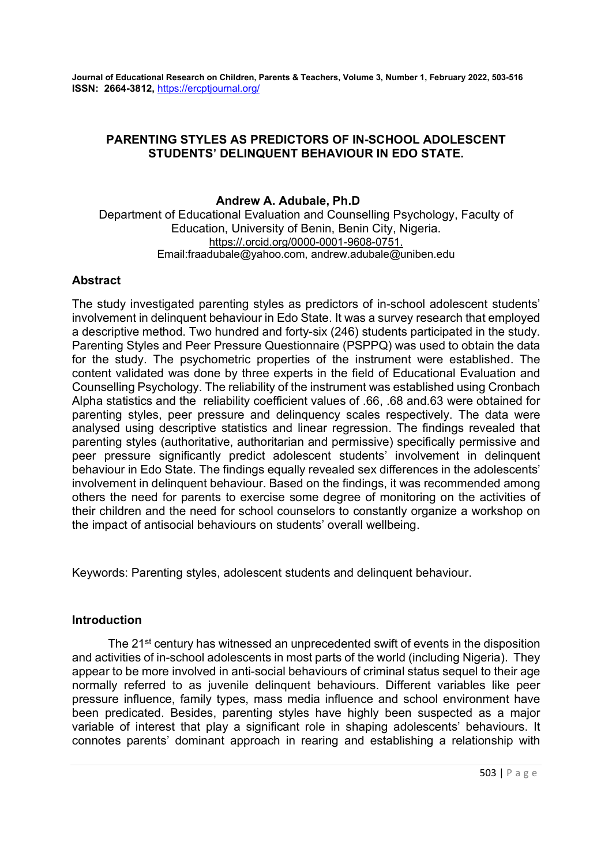# PARENTING STYLES AS PREDICTORS OF IN-SCHOOL ADOLESCENT STUDENTS' DELINQUENT BEHAVIOUR IN EDO STATE.

# Andrew A. Adubale, Ph.D

Department of Educational Evaluation and Counselling Psychology, Faculty of Education, University of Benin, Benin City, Nigeria. https://.orcid.org/0000-0001-9608-0751. Email:fraadubale@yahoo.com, andrew.adubale@uniben.edu

# **Abstract**

The study investigated parenting styles as predictors of in-school adolescent students' involvement in delinquent behaviour in Edo State. It was a survey research that employed a descriptive method. Two hundred and forty-six (246) students participated in the study. Parenting Styles and Peer Pressure Questionnaire (PSPPQ) was used to obtain the data for the study. The psychometric properties of the instrument were established. The content validated was done by three experts in the field of Educational Evaluation and Counselling Psychology. The reliability of the instrument was established using Cronbach Alpha statistics and the reliability coefficient values of .66, .68 and.63 were obtained for parenting styles, peer pressure and delinquency scales respectively. The data were analysed using descriptive statistics and linear regression. The findings revealed that parenting styles (authoritative, authoritarian and permissive) specifically permissive and peer pressure significantly predict adolescent students' involvement in delinquent behaviour in Edo State. The findings equally revealed sex differences in the adolescents' involvement in delinquent behaviour. Based on the findings, it was recommended among others the need for parents to exercise some degree of monitoring on the activities of their children and the need for school counselors to constantly organize a workshop on the impact of antisocial behaviours on students' overall wellbeing.

Keywords: Parenting styles, adolescent students and delinquent behaviour.

# Introduction

The 21<sup>st</sup> century has witnessed an unprecedented swift of events in the disposition and activities of in-school adolescents in most parts of the world (including Nigeria). They appear to be more involved in anti-social behaviours of criminal status sequel to their age normally referred to as juvenile delinquent behaviours. Different variables like peer pressure influence, family types, mass media influence and school environment have been predicated. Besides, parenting styles have highly been suspected as a major variable of interest that play a significant role in shaping adolescents' behaviours. It connotes parents' dominant approach in rearing and establishing a relationship with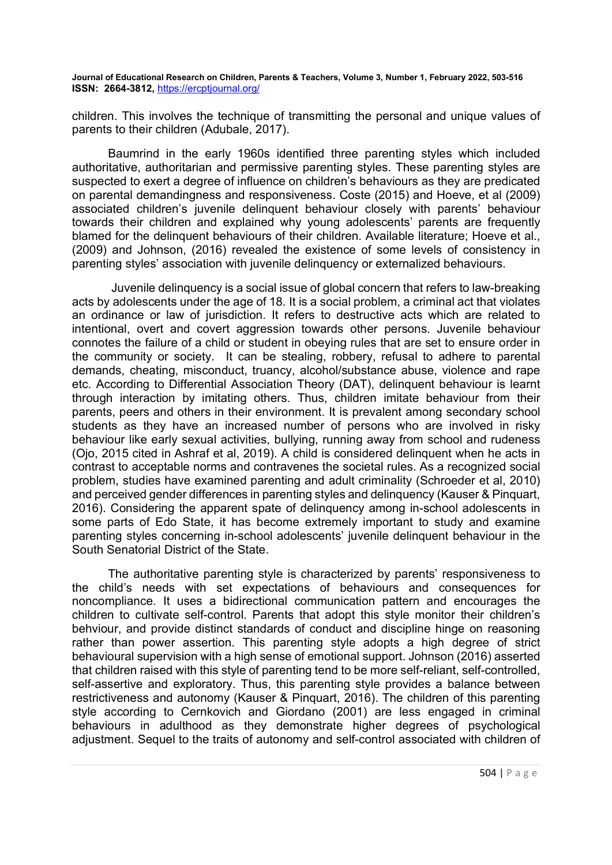children. This involves the technique of transmitting the personal and unique values of parents to their children (Adubale, 2017).

Baumrind in the early 1960s identified three parenting styles which included authoritative, authoritarian and permissive parenting styles. These parenting styles are suspected to exert a degree of influence on children's behaviours as they are predicated on parental demandingness and responsiveness. Coste (2015) and Hoeve, et al (2009) associated children's juvenile delinquent behaviour closely with parents' behaviour towards their children and explained why young adolescents' parents are frequently blamed for the delinquent behaviours of their children. Available literature; Hoeve et al., (2009) and Johnson, (2016) revealed the existence of some levels of consistency in parenting styles' association with juvenile delinquency or externalized behaviours.

 Juvenile delinquency is a social issue of global concern that refers to law-breaking acts by adolescents under the age of 18. It is a social problem, a criminal act that violates an ordinance or law of jurisdiction. It refers to destructive acts which are related to intentional, overt and covert aggression towards other persons. Juvenile behaviour connotes the failure of a child or student in obeying rules that are set to ensure order in the community or society. It can be stealing, robbery, refusal to adhere to parental demands, cheating, misconduct, truancy, alcohol/substance abuse, violence and rape etc. According to Differential Association Theory (DAT), delinquent behaviour is learnt through interaction by imitating others. Thus, children imitate behaviour from their parents, peers and others in their environment. It is prevalent among secondary school students as they have an increased number of persons who are involved in risky behaviour like early sexual activities, bullying, running away from school and rudeness (Ojo, 2015 cited in Ashraf et al, 2019). A child is considered delinquent when he acts in contrast to acceptable norms and contravenes the societal rules. As a recognized social problem, studies have examined parenting and adult criminality (Schroeder et al, 2010) and perceived gender differences in parenting styles and delinquency (Kauser & Pinquart, 2016). Considering the apparent spate of delinquency among in-school adolescents in some parts of Edo State, it has become extremely important to study and examine parenting styles concerning in-school adolescents' juvenile delinquent behaviour in the South Senatorial District of the State.

The authoritative parenting style is characterized by parents' responsiveness to the child's needs with set expectations of behaviours and consequences for noncompliance. It uses a bidirectional communication pattern and encourages the children to cultivate self-control. Parents that adopt this style monitor their children's behviour, and provide distinct standards of conduct and discipline hinge on reasoning rather than power assertion. This parenting style adopts a high degree of strict behavioural supervision with a high sense of emotional support. Johnson (2016) asserted that children raised with this style of parenting tend to be more self-reliant, self-controlled, self-assertive and exploratory. Thus, this parenting style provides a balance between restrictiveness and autonomy (Kauser & Pinquart, 2016). The children of this parenting style according to Cernkovich and Giordano (2001) are less engaged in criminal behaviours in adulthood as they demonstrate higher degrees of psychological adjustment. Sequel to the traits of autonomy and self-control associated with children of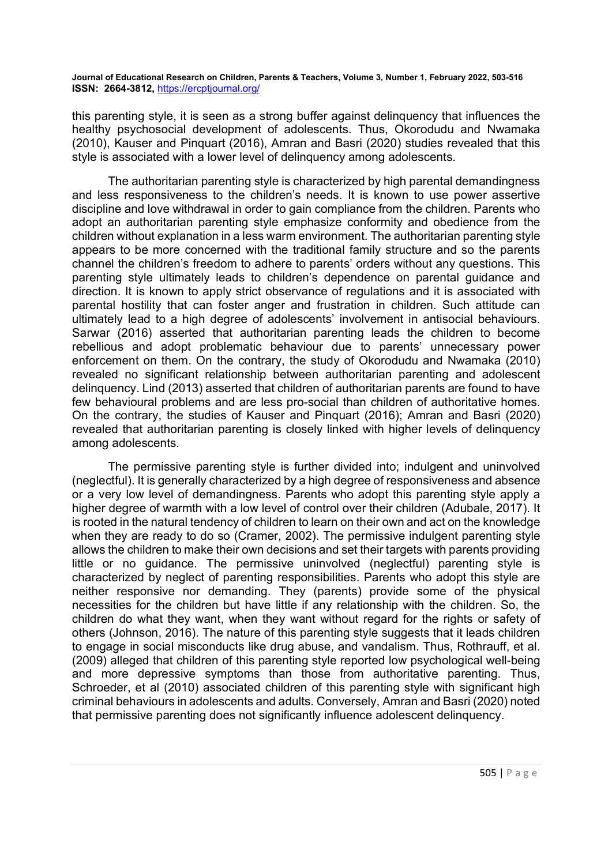this parenting style, it is seen as a strong buffer against delinquency that influences the healthy psychosocial development of adolescents. Thus, Okorodudu and Nwamaka (2010), Kauser and Pinquart (2016), Amran and Basri (2020) studies revealed that this style is associated with a lower level of delinquency among adolescents.

The authoritarian parenting style is characterized by high parental demandingness and less responsiveness to the children's needs. It is known to use power assertive discipline and love withdrawal in order to gain compliance from the children. Parents who adopt an authoritarian parenting style emphasize conformity and obedience from the children without explanation in a less warm environment. The authoritarian parenting style appears to be more concerned with the traditional family structure and so the parents channel the children's freedom to adhere to parents' orders without any questions. This parenting style ultimately leads to children's dependence on parental guidance and direction. It is known to apply strict observance of regulations and it is associated with parental hostility that can foster anger and frustration in children. Such attitude can ultimately lead to a high degree of adolescents' involvement in antisocial behaviours. Sarwar (2016) asserted that authoritarian parenting leads the children to become rebellious and adopt problematic behaviour due to parents' unnecessary power enforcement on them. On the contrary, the study of Okorodudu and Nwamaka (2010) revealed no significant relationship between authoritarian parenting and adolescent delinquency. Lind (2013) asserted that children of authoritarian parents are found to have few behavioural problems and are less pro-social than children of authoritative homes. On the contrary, the studies of Kauser and Pinquart (2016); Amran and Basri (2020) revealed that authoritarian parenting is closely linked with higher levels of delinquency among adolescents.

The permissive parenting style is further divided into; indulgent and uninvolved (neglectful). It is generally characterized by a high degree of responsiveness and absence or a very low level of demandingness. Parents who adopt this parenting style apply a higher degree of warmth with a low level of control over their children (Adubale, 2017). It is rooted in the natural tendency of children to learn on their own and act on the knowledge when they are ready to do so (Cramer, 2002). The permissive indulgent parenting style allows the children to make their own decisions and set their targets with parents providing little or no guidance. The permissive uninvolved (neglectful) parenting style is characterized by neglect of parenting responsibilities. Parents who adopt this style are neither responsive nor demanding. They (parents) provide some of the physical necessities for the children but have little if any relationship with the children. So, the children do what they want, when they want without regard for the rights or safety of others (Johnson, 2016). The nature of this parenting style suggests that it leads children to engage in social misconducts like drug abuse, and vandalism. Thus, Rothrauff, et al. (2009) alleged that children of this parenting style reported low psychological well-being and more depressive symptoms than those from authoritative parenting. Thus, Schroeder, et al (2010) associated children of this parenting style with significant high criminal behaviours in adolescents and adults. Conversely, Amran and Basri (2020) noted that permissive parenting does not significantly influence adolescent delinquency.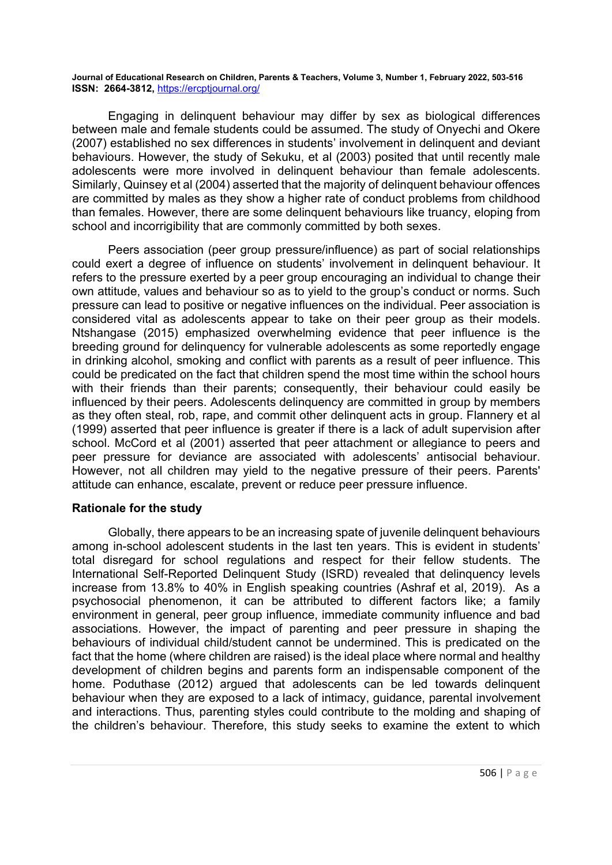Engaging in delinquent behaviour may differ by sex as biological differences between male and female students could be assumed. The study of Onyechi and Okere (2007) established no sex differences in students' involvement in delinquent and deviant behaviours. However, the study of Sekuku, et al (2003) posited that until recently male adolescents were more involved in delinquent behaviour than female adolescents. Similarly, Quinsey et al (2004) asserted that the majority of delinquent behaviour offences are committed by males as they show a higher rate of conduct problems from childhood than females. However, there are some delinquent behaviours like truancy, eloping from school and incorrigibility that are commonly committed by both sexes.

Peers association (peer group pressure/influence) as part of social relationships could exert a degree of influence on students' involvement in delinquent behaviour. It refers to the pressure exerted by a peer group encouraging an individual to change their own attitude, values and behaviour so as to yield to the group's conduct or norms. Such pressure can lead to positive or negative influences on the individual. Peer association is considered vital as adolescents appear to take on their peer group as their models. Ntshangase (2015) emphasized overwhelming evidence that peer influence is the breeding ground for delinquency for vulnerable adolescents as some reportedly engage in drinking alcohol, smoking and conflict with parents as a result of peer influence. This could be predicated on the fact that children spend the most time within the school hours with their friends than their parents; consequently, their behaviour could easily be influenced by their peers. Adolescents delinquency are committed in group by members as they often steal, rob, rape, and commit other delinquent acts in group. Flannery et al (1999) asserted that peer influence is greater if there is a lack of adult supervision after school. McCord et al (2001) asserted that peer attachment or allegiance to peers and peer pressure for deviance are associated with adolescents' antisocial behaviour. However, not all children may yield to the negative pressure of their peers. Parents' attitude can enhance, escalate, prevent or reduce peer pressure influence.

# Rationale for the study

 Globally, there appears to be an increasing spate of juvenile delinquent behaviours among in-school adolescent students in the last ten years. This is evident in students' total disregard for school regulations and respect for their fellow students. The International Self-Reported Delinquent Study (ISRD) revealed that delinquency levels increase from 13.8% to 40% in English speaking countries (Ashraf et al, 2019). As a psychosocial phenomenon, it can be attributed to different factors like; a family environment in general, peer group influence, immediate community influence and bad associations. However, the impact of parenting and peer pressure in shaping the behaviours of individual child/student cannot be undermined. This is predicated on the fact that the home (where children are raised) is the ideal place where normal and healthy development of children begins and parents form an indispensable component of the home. Poduthase (2012) argued that adolescents can be led towards delinquent behaviour when they are exposed to a lack of intimacy, guidance, parental involvement and interactions. Thus, parenting styles could contribute to the molding and shaping of the children's behaviour. Therefore, this study seeks to examine the extent to which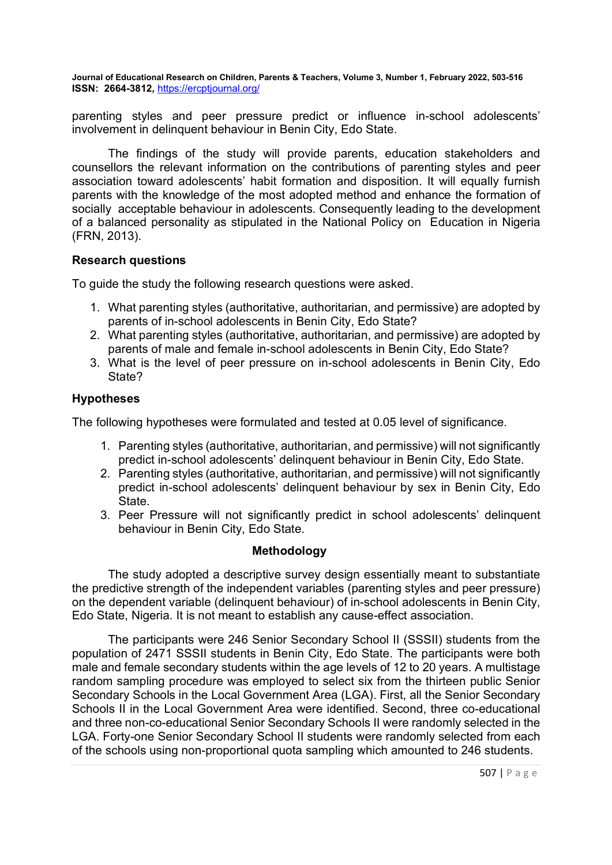parenting styles and peer pressure predict or influence in-school adolescents' involvement in delinquent behaviour in Benin City, Edo State.

 The findings of the study will provide parents, education stakeholders and counsellors the relevant information on the contributions of parenting styles and peer association toward adolescents' habit formation and disposition. It will equally furnish parents with the knowledge of the most adopted method and enhance the formation of socially acceptable behaviour in adolescents. Consequently leading to the development of a balanced personality as stipulated in the National Policy on Education in Nigeria (FRN, 2013).

# Research questions

To guide the study the following research questions were asked.

- 1. What parenting styles (authoritative, authoritarian, and permissive) are adopted by parents of in-school adolescents in Benin City, Edo State?
- 2. What parenting styles (authoritative, authoritarian, and permissive) are adopted by parents of male and female in-school adolescents in Benin City, Edo State?
- 3. What is the level of peer pressure on in-school adolescents in Benin City, Edo State?

#### Hypotheses

The following hypotheses were formulated and tested at 0.05 level of significance.

- 1. Parenting styles (authoritative, authoritarian, and permissive) will not significantly predict in-school adolescents' delinquent behaviour in Benin City, Edo State.
- 2. Parenting styles (authoritative, authoritarian, and permissive) will not significantly predict in-school adolescents' delinquent behaviour by sex in Benin City, Edo State.
- 3. Peer Pressure will not significantly predict in school adolescents' delinquent behaviour in Benin City, Edo State.

#### Methodology

The study adopted a descriptive survey design essentially meant to substantiate the predictive strength of the independent variables (parenting styles and peer pressure) on the dependent variable (delinquent behaviour) of in-school adolescents in Benin City, Edo State, Nigeria. It is not meant to establish any cause-effect association.

The participants were 246 Senior Secondary School II (SSSII) students from the population of 2471 SSSII students in Benin City, Edo State. The participants were both male and female secondary students within the age levels of 12 to 20 years. A multistage random sampling procedure was employed to select six from the thirteen public Senior Secondary Schools in the Local Government Area (LGA). First, all the Senior Secondary Schools II in the Local Government Area were identified. Second, three co-educational and three non-co-educational Senior Secondary Schools II were randomly selected in the LGA. Forty-one Senior Secondary School II students were randomly selected from each of the schools using non-proportional quota sampling which amounted to 246 students.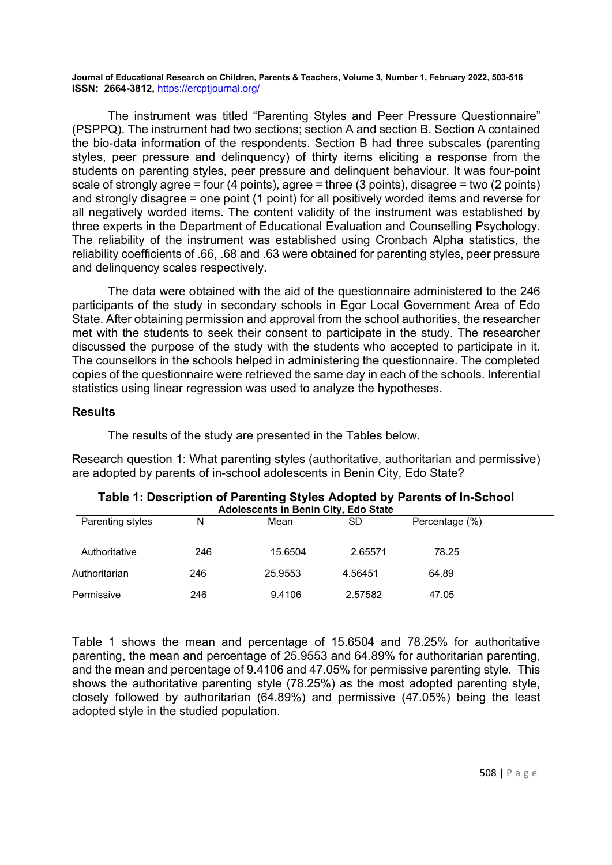The instrument was titled "Parenting Styles and Peer Pressure Questionnaire" (PSPPQ). The instrument had two sections; section A and section B. Section A contained the bio-data information of the respondents. Section B had three subscales (parenting styles, peer pressure and delinquency) of thirty items eliciting a response from the students on parenting styles, peer pressure and delinquent behaviour. It was four-point scale of strongly agree = four (4 points), agree = three (3 points), disagree = two (2 points) and strongly disagree = one point (1 point) for all positively worded items and reverse for all negatively worded items. The content validity of the instrument was established by three experts in the Department of Educational Evaluation and Counselling Psychology. The reliability of the instrument was established using Cronbach Alpha statistics, the reliability coefficients of .66, .68 and .63 were obtained for parenting styles, peer pressure and delinquency scales respectively.

 The data were obtained with the aid of the questionnaire administered to the 246 participants of the study in secondary schools in Egor Local Government Area of Edo State. After obtaining permission and approval from the school authorities, the researcher met with the students to seek their consent to participate in the study. The researcher discussed the purpose of the study with the students who accepted to participate in it. The counsellors in the schools helped in administering the questionnaire. The completed copies of the questionnaire were retrieved the same day in each of the schools. Inferential statistics using linear regression was used to analyze the hypotheses.

#### **Results**

The results of the study are presented in the Tables below.

Research question 1: What parenting styles (authoritative, authoritarian and permissive) are adopted by parents of in-school adolescents in Benin City, Edo State?

|     |         | , <i>.</i> |                |  |
|-----|---------|------------|----------------|--|
| N   | Mean    | SD         | Percentage (%) |  |
| 246 | 15.6504 | 2.65571    | 78.25          |  |
| 246 | 25.9553 | 4.56451    | 64.89          |  |
| 246 | 9.4106  | 2.57582    | 47.05          |  |
|     |         |            |                |  |

#### Table 1: Description of Parenting Styles Adopted by Parents of In-School Adolescents in Benin City, Edo State

Table 1 shows the mean and percentage of 15.6504 and 78.25% for authoritative parenting, the mean and percentage of 25.9553 and 64.89% for authoritarian parenting, and the mean and percentage of 9.4106 and 47.05% for permissive parenting style. This shows the authoritative parenting style (78.25%) as the most adopted parenting style, closely followed by authoritarian (64.89%) and permissive (47.05%) being the least adopted style in the studied population.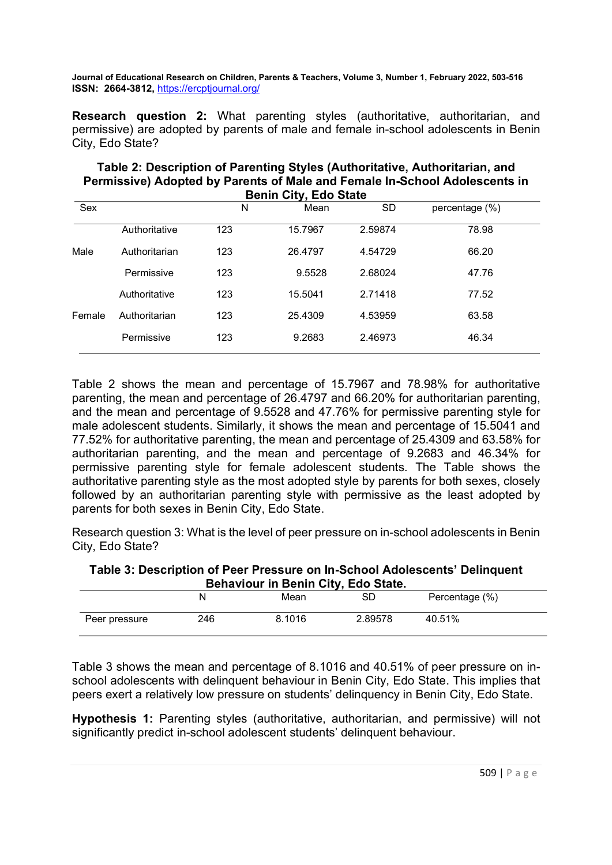Research question 2: What parenting styles (authoritative, authoritarian, and permissive) are adopted by parents of male and female in-school adolescents in Benin City, Edo State?

# Table 2: Description of Parenting Styles (Authoritative, Authoritarian, and Permissive) Adopted by Parents of Male and Female In-School Adolescents in Benin City, Edo State

| Sex    |               | N   | Mean    | <b>SD</b> | percentage (%) |
|--------|---------------|-----|---------|-----------|----------------|
|        | Authoritative | 123 | 15.7967 | 2.59874   | 78.98          |
| Male   | Authoritarian | 123 | 26.4797 | 4.54729   | 66.20          |
|        | Permissive    | 123 | 9.5528  | 2.68024   | 47.76          |
|        | Authoritative | 123 | 15.5041 | 2.71418   | 77.52          |
| Female | Authoritarian | 123 | 25.4309 | 4.53959   | 63.58          |
|        | Permissive    | 123 | 9.2683  | 2.46973   | 46.34          |

Table 2 shows the mean and percentage of 15.7967 and 78.98% for authoritative parenting, the mean and percentage of 26.4797 and 66.20% for authoritarian parenting, and the mean and percentage of 9.5528 and 47.76% for permissive parenting style for male adolescent students. Similarly, it shows the mean and percentage of 15.5041 and 77.52% for authoritative parenting, the mean and percentage of 25.4309 and 63.58% for authoritarian parenting, and the mean and percentage of 9.2683 and 46.34% for permissive parenting style for female adolescent students. The Table shows the authoritative parenting style as the most adopted style by parents for both sexes, closely followed by an authoritarian parenting style with permissive as the least adopted by parents for both sexes in Benin City, Edo State.

Research question 3: What is the level of peer pressure on in-school adolescents in Benin City, Edo State?

Table 3: Description of Peer Pressure on In-School Adolescents' Delinquent Behaviour in Benin City, Edo State.

|               |     | Mean   | SD      | Percentage (%) |  |  |  |
|---------------|-----|--------|---------|----------------|--|--|--|
| Peer pressure | 246 | 8.1016 | 2.89578 | 40.51%         |  |  |  |

Table 3 shows the mean and percentage of 8.1016 and 40.51% of peer pressure on inschool adolescents with delinquent behaviour in Benin City, Edo State. This implies that peers exert a relatively low pressure on students' delinquency in Benin City, Edo State.

Hypothesis 1: Parenting styles (authoritative, authoritarian, and permissive) will not significantly predict in-school adolescent students' delinquent behaviour.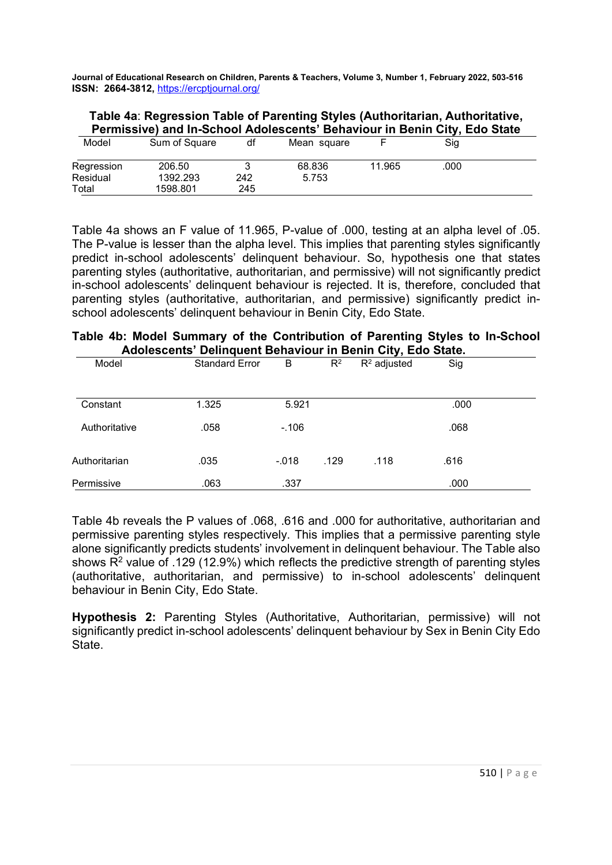# Table 4a: Regression Table of Parenting Styles (Authoritarian, Authoritative, Permissive) and In-School Adolescents' Behaviour in Benin City, Edo State

| Model      | Sum of Square | df  | Mean square |        | . .<br>Sig |  |
|------------|---------------|-----|-------------|--------|------------|--|
| Regression | 206.50        |     | 68.836      | 11.965 | .000       |  |
| Residual   | 1392.293      | 242 | 5.753       |        |            |  |
| Total      | 1598.801      | 245 |             |        |            |  |

Table 4a shows an F value of 11.965, P-value of .000, testing at an alpha level of .05. The P-value is lesser than the alpha level. This implies that parenting styles significantly predict in-school adolescents' delinquent behaviour. So, hypothesis one that states parenting styles (authoritative, authoritarian, and permissive) will not significantly predict in-school adolescents' delinquent behaviour is rejected. It is, therefore, concluded that parenting styles (authoritative, authoritarian, and permissive) significantly predict inschool adolescents' delinquent behaviour in Benin City, Edo State.

# Table 4b: Model Summary of the Contribution of Parenting Styles to In-School Adolescents' Delinquent Behaviour in Benin City, Edo State.

| Model         | <b>Standard Error</b> | B       | $R^2$ | $R^2$ adjusted | Sig  |  |
|---------------|-----------------------|---------|-------|----------------|------|--|
|               |                       |         |       |                |      |  |
| Constant      | 1.325                 | 5.921   |       |                | .000 |  |
| Authoritative | .058                  | $-.106$ |       |                | .068 |  |
| Authoritarian | .035                  | $-.018$ | .129  | .118           | .616 |  |
| Permissive    | .063                  | .337    |       |                | .000 |  |

Table 4b reveals the P values of .068, .616 and .000 for authoritative, authoritarian and permissive parenting styles respectively. This implies that a permissive parenting style alone significantly predicts students' involvement in delinquent behaviour. The Table also shows R<sup>2</sup> value of .129 (12.9%) which reflects the predictive strength of parenting styles (authoritative, authoritarian, and permissive) to in-school adolescents' delinquent behaviour in Benin City, Edo State.

Hypothesis 2: Parenting Styles (Authoritative, Authoritarian, permissive) will not significantly predict in-school adolescents' delinquent behaviour by Sex in Benin City Edo State.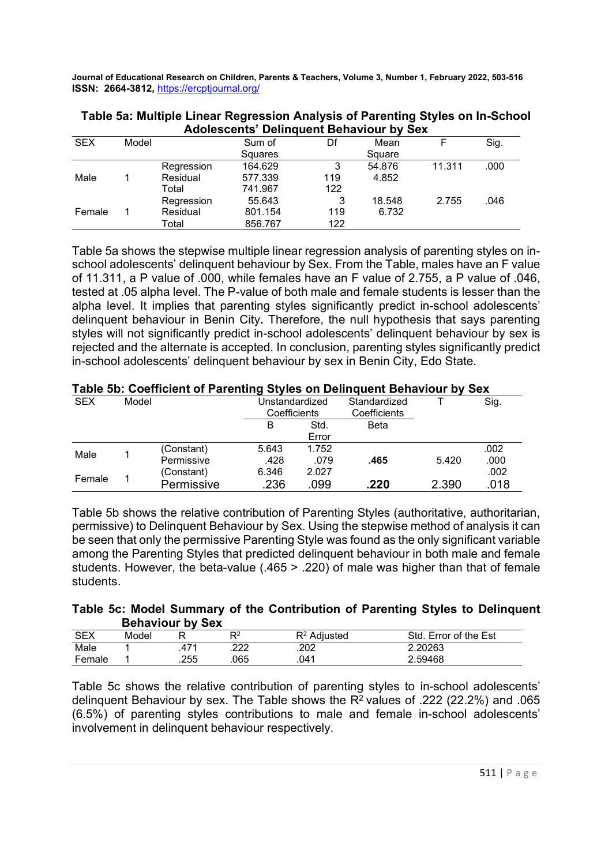|            |       |            | Adolescents' Delinquent Benaviour by Sex |     |        |        |      |
|------------|-------|------------|------------------------------------------|-----|--------|--------|------|
| <b>SEX</b> | Model |            | Sum of                                   | Df  | Mean   |        | Sig. |
|            |       |            | Squares                                  |     | Square |        |      |
|            |       | Regression | 164.629                                  | 3   | 54.876 | 11.311 | .000 |
| Male       |       | Residual   | 577.339                                  | 119 | 4.852  |        |      |
|            |       | Total      | 741.967                                  | 122 |        |        |      |
|            |       | Regression | 55.643                                   | 3   | 18.548 | 2.755  | .046 |
| Female     |       | Residual   | 801.154                                  | 119 | 6.732  |        |      |
|            |       | Total      | 856.767                                  | 122 |        |        |      |

Table 5a: Multiple Linear Regression Analysis of Parenting Styles on In-School Adolescents' Delinquent Behaviour by Sex

Table 5a shows the stepwise multiple linear regression analysis of parenting styles on inschool adolescents' delinquent behaviour by Sex. From the Table, males have an F value of 11.311, a P value of .000, while females have an F value of 2.755, a P value of .046, tested at .05 alpha level. The P-value of both male and female students is lesser than the alpha level. It implies that parenting styles significantly predict in-school adolescents' delinquent behaviour in Benin City. Therefore, the null hypothesis that says parenting styles will not significantly predict in-school adolescents' delinquent behaviour by sex is rejected and the alternate is accepted. In conclusion, parenting styles significantly predict in-school adolescents' delinquent behaviour by sex in Benin City, Edo State.

|            |       | Table 3D. Coefficient of Parenting Styles on Definition Denaviour by Sex |                |       |              |       |      |
|------------|-------|--------------------------------------------------------------------------|----------------|-------|--------------|-------|------|
| <b>SEX</b> | Model |                                                                          | Unstandardized |       | Standardized |       | Sig. |
|            |       |                                                                          | Coefficients   |       | Coefficients |       |      |
|            |       |                                                                          | в              | Std.  | Beta         |       |      |
|            |       |                                                                          |                | Error |              |       |      |
| Male       |       | (Constant)                                                               | 5.643          | 1.752 |              |       | .002 |
|            |       | Permissive                                                               | .428           | .079  | .465         | 5.420 | .000 |
| Female     |       | (Constant)                                                               | 6.346          | 2.027 |              |       | .002 |
|            |       | Permissive                                                               | .236           | .099  | .220         | 2.390 | .018 |

# Table 5b: Coefficient of Parenting Styles on Delinquent Behaviour by Sex

Table 5b shows the relative contribution of Parenting Styles (authoritative, authoritarian, permissive) to Delinquent Behaviour by Sex. Using the stepwise method of analysis it can be seen that only the permissive Parenting Style was found as the only significant variable among the Parenting Styles that predicted delinquent behaviour in both male and female students. However, the beta-value (.465 > .220) of male was higher than that of female students.

# Table 5c: Model Summary of the Contribution of Parenting Styles to Delinquent Behaviour by Sex

| <b>SEX</b> | Model |      |          | R <sup>2</sup> Adiusted | Error of the Est<br><b>Std</b> |
|------------|-------|------|----------|-------------------------|--------------------------------|
| Male       |       | .471 | מממ<br>ᅩ | .202                    | 2.20263                        |
| Female     |       | .255 | 065      | .041                    | 2.59468                        |

Table 5c shows the relative contribution of parenting styles to in-school adolescents' delinquent Behaviour by sex. The Table shows the  $R^2$  values of .222 (22.2%) and .065 (6.5%) of parenting styles contributions to male and female in-school adolescents' involvement in delinquent behaviour respectively.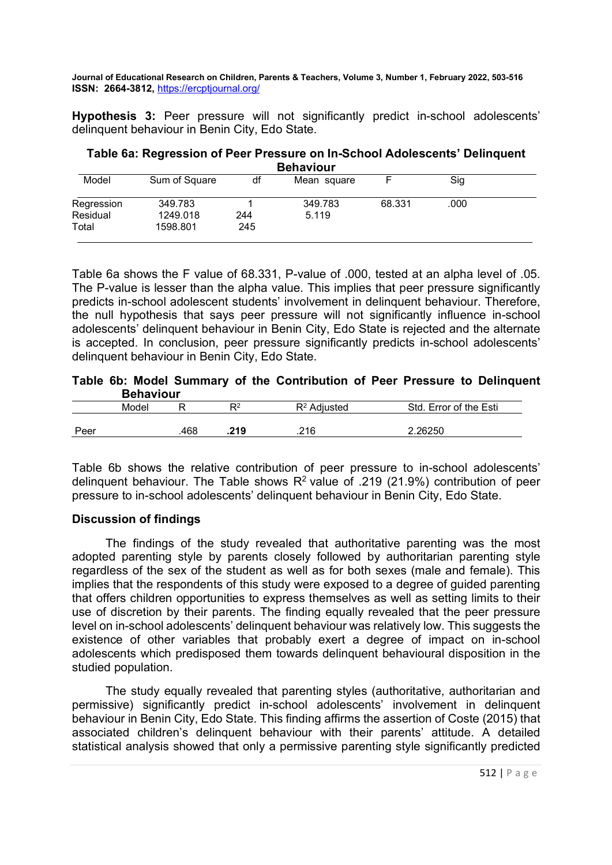Hypothesis 3: Peer pressure will not significantly predict in-school adolescents' delinquent behaviour in Benin City, Edo State.

Table 6a: Regression of Peer Pressure on In-School Adolescents' Delinquent Behaviour

| Model      | Sum of Square | df  | Mean square |        | Sig  |  |
|------------|---------------|-----|-------------|--------|------|--|
| Regression | 349.783       |     | 349.783     | 68.331 | .000 |  |
| Residual   | 1249.018      | 244 | 5.119       |        |      |  |
| Total      | 1598.801      | 245 |             |        |      |  |

Table 6a shows the F value of 68.331, P-value of .000, tested at an alpha level of .05. The P-value is lesser than the alpha value. This implies that peer pressure significantly predicts in-school adolescent students' involvement in delinquent behaviour. Therefore, the null hypothesis that says peer pressure will not significantly influence in-school adolescents' delinquent behaviour in Benin City, Edo State is rejected and the alternate is accepted. In conclusion, peer pressure significantly predicts in-school adolescents' delinquent behaviour in Benin City, Edo State.

Table 6b: Model Summary of the Contribution of Peer Pressure to Delinquent Behaviour

|      | ------------ |     |                |                |                              |
|------|--------------|-----|----------------|----------------|------------------------------|
|      | Model        |     | D <sub>2</sub> | $R^2$ Adjusted | l. Error of the Esti<br>Std. |
| Peer |              | 468 | .219           | 216<br>.z i u  | 2.26250                      |

Table 6b shows the relative contribution of peer pressure to in-school adolescents' delinquent behaviour. The Table shows  $R^2$  value of .219 (21.9%) contribution of peer pressure to in-school adolescents' delinquent behaviour in Benin City, Edo State.

# Discussion of findings

The findings of the study revealed that authoritative parenting was the most adopted parenting style by parents closely followed by authoritarian parenting style regardless of the sex of the student as well as for both sexes (male and female). This implies that the respondents of this study were exposed to a degree of guided parenting that offers children opportunities to express themselves as well as setting limits to their use of discretion by their parents. The finding equally revealed that the peer pressure level on in-school adolescents' delinquent behaviour was relatively low. This suggests the existence of other variables that probably exert a degree of impact on in-school adolescents which predisposed them towards delinquent behavioural disposition in the studied population.

The study equally revealed that parenting styles (authoritative, authoritarian and permissive) significantly predict in-school adolescents' involvement in delinquent behaviour in Benin City, Edo State. This finding affirms the assertion of Coste (2015) that associated children's delinquent behaviour with their parents' attitude. A detailed statistical analysis showed that only a permissive parenting style significantly predicted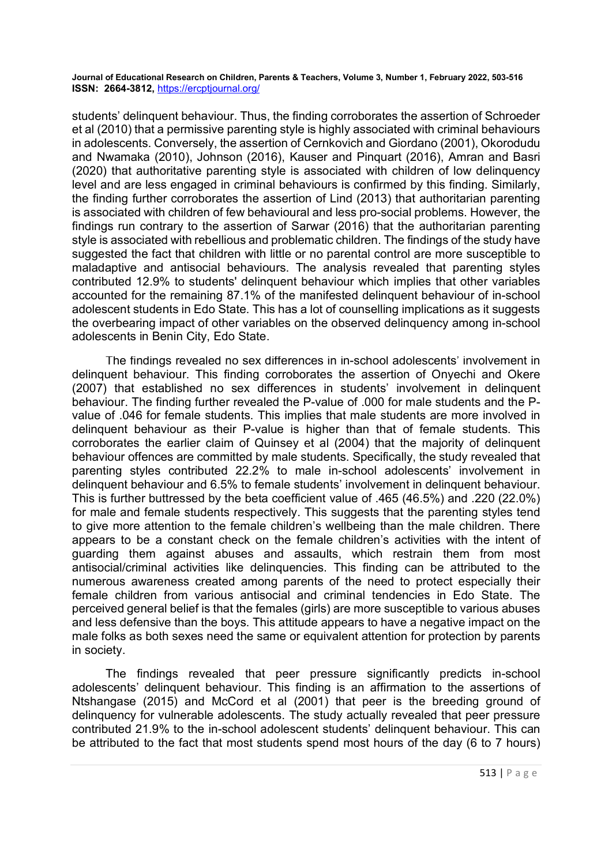students' delinquent behaviour. Thus, the finding corroborates the assertion of Schroeder et al (2010) that a permissive parenting style is highly associated with criminal behaviours in adolescents. Conversely, the assertion of Cernkovich and Giordano (2001), Okorodudu and Nwamaka (2010), Johnson (2016), Kauser and Pinquart (2016), Amran and Basri (2020) that authoritative parenting style is associated with children of low delinquency level and are less engaged in criminal behaviours is confirmed by this finding. Similarly, the finding further corroborates the assertion of Lind (2013) that authoritarian parenting is associated with children of few behavioural and less pro-social problems. However, the findings run contrary to the assertion of Sarwar (2016) that the authoritarian parenting style is associated with rebellious and problematic children. The findings of the study have suggested the fact that children with little or no parental control are more susceptible to maladaptive and antisocial behaviours. The analysis revealed that parenting styles contributed 12.9% to students' delinquent behaviour which implies that other variables accounted for the remaining 87.1% of the manifested delinquent behaviour of in-school adolescent students in Edo State. This has a lot of counselling implications as it suggests the overbearing impact of other variables on the observed delinquency among in-school adolescents in Benin City, Edo State.

The findings revealed no sex differences in in-school adolescents' involvement in delinquent behaviour. This finding corroborates the assertion of Onyechi and Okere (2007) that established no sex differences in students' involvement in delinquent behaviour. The finding further revealed the P-value of .000 for male students and the Pvalue of .046 for female students. This implies that male students are more involved in delinquent behaviour as their P-value is higher than that of female students. This corroborates the earlier claim of Quinsey et al (2004) that the majority of delinquent behaviour offences are committed by male students. Specifically, the study revealed that parenting styles contributed 22.2% to male in-school adolescents' involvement in delinquent behaviour and 6.5% to female students' involvement in delinquent behaviour. This is further buttressed by the beta coefficient value of .465 (46.5%) and .220 (22.0%) for male and female students respectively. This suggests that the parenting styles tend to give more attention to the female children's wellbeing than the male children. There appears to be a constant check on the female children's activities with the intent of guarding them against abuses and assaults, which restrain them from most antisocial/criminal activities like delinquencies. This finding can be attributed to the numerous awareness created among parents of the need to protect especially their female children from various antisocial and criminal tendencies in Edo State. The perceived general belief is that the females (girls) are more susceptible to various abuses and less defensive than the boys. This attitude appears to have a negative impact on the male folks as both sexes need the same or equivalent attention for protection by parents in society.

The findings revealed that peer pressure significantly predicts in-school adolescents' delinquent behaviour. This finding is an affirmation to the assertions of Ntshangase (2015) and McCord et al (2001) that peer is the breeding ground of delinquency for vulnerable adolescents. The study actually revealed that peer pressure contributed 21.9% to the in-school adolescent students' delinquent behaviour. This can be attributed to the fact that most students spend most hours of the day (6 to 7 hours)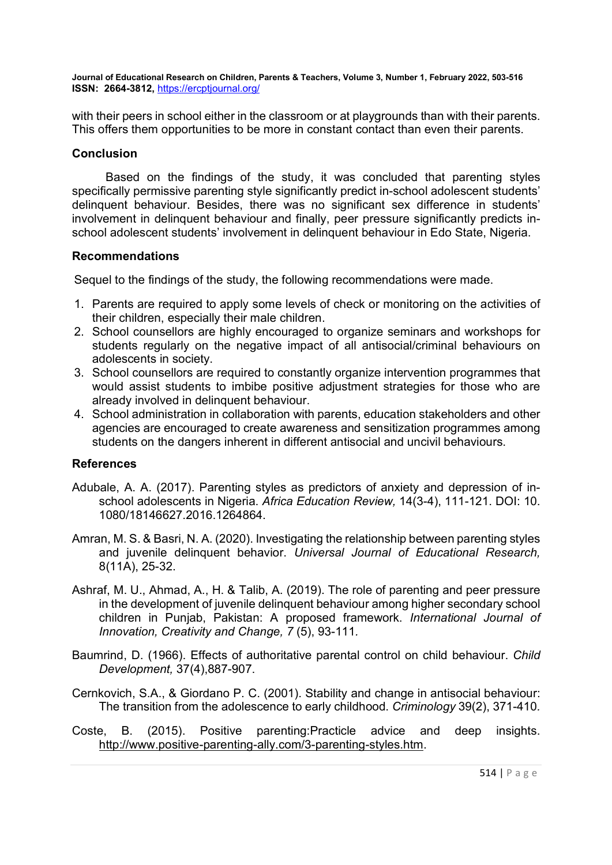with their peers in school either in the classroom or at playgrounds than with their parents. This offers them opportunities to be more in constant contact than even their parents.

#### **Conclusion**

Based on the findings of the study, it was concluded that parenting styles specifically permissive parenting style significantly predict in-school adolescent students' delinquent behaviour. Besides, there was no significant sex difference in students' involvement in delinquent behaviour and finally, peer pressure significantly predicts inschool adolescent students' involvement in delinquent behaviour in Edo State, Nigeria.

#### Recommendations

Sequel to the findings of the study, the following recommendations were made.

- 1. Parents are required to apply some levels of check or monitoring on the activities of their children, especially their male children.
- 2. School counsellors are highly encouraged to organize seminars and workshops for students regularly on the negative impact of all antisocial/criminal behaviours on adolescents in society.
- 3. School counsellors are required to constantly organize intervention programmes that would assist students to imbibe positive adjustment strategies for those who are already involved in delinquent behaviour.
- 4. School administration in collaboration with parents, education stakeholders and other agencies are encouraged to create awareness and sensitization programmes among students on the dangers inherent in different antisocial and uncivil behaviours.

# References

- Adubale, A. A. (2017). Parenting styles as predictors of anxiety and depression of inschool adolescents in Nigeria. Africa Education Review, 14(3-4), 111-121. DOI: 10. 1080/18146627.2016.1264864.
- Amran, M. S. & Basri, N. A. (2020). Investigating the relationship between parenting styles and juvenile delinquent behavior. Universal Journal of Educational Research, 8(11A), 25-32.
- Ashraf, M. U., Ahmad, A., H. & Talib, A. (2019). The role of parenting and peer pressure in the development of juvenile delinquent behaviour among higher secondary school children in Punjab, Pakistan: A proposed framework. International Journal of Innovation, Creativity and Change, 7 (5), 93-111.
- Baumrind, D. (1966). Effects of authoritative parental control on child behaviour. Child Development, 37(4),887-907.
- Cernkovich, S.A., & Giordano P. C. (2001). Stability and change in antisocial behaviour: The transition from the adolescence to early childhood. Criminology 39(2), 371-410.
- Coste, B. (2015). Positive parenting:Practicle advice and deep insights. http://www.positive-parenting-ally.com/3-parenting-styles.htm.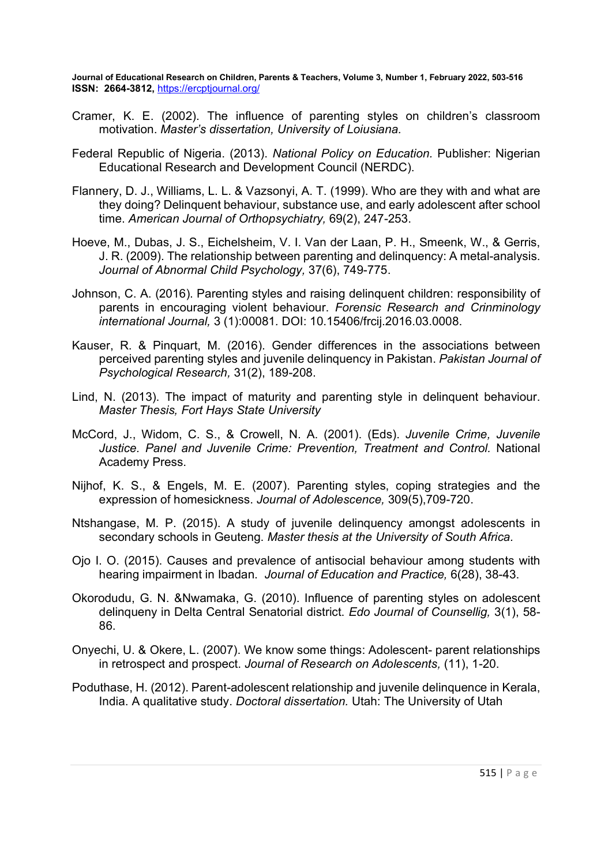- Cramer, K. E. (2002). The influence of parenting styles on children's classroom motivation. Master's dissertation, University of Loiusiana.
- Federal Republic of Nigeria. (2013). National Policy on Education. Publisher: Nigerian Educational Research and Development Council (NERDC).
- Flannery, D. J., Williams, L. L. & Vazsonyi, A. T. (1999). Who are they with and what are they doing? Delinquent behaviour, substance use, and early adolescent after school time. American Journal of Orthopsychiatry, 69(2), 247-253.
- Hoeve, M., Dubas, J. S., Eichelsheim, V. I. Van der Laan, P. H., Smeenk, W., & Gerris, J. R. (2009). The relationship between parenting and delinquency: A metal-analysis. Journal of Abnormal Child Psychology, 37(6), 749-775.
- Johnson, C. A. (2016). Parenting styles and raising delinquent children: responsibility of parents in encouraging violent behaviour. Forensic Research and Crinminology international Journal, 3 (1):00081. DOI: 10.15406/frcij.2016.03.0008.
- Kauser, R. & Pinquart, M. (2016). Gender differences in the associations between perceived parenting styles and juvenile delinquency in Pakistan. Pakistan Journal of Psychological Research, 31(2), 189-208.
- Lind, N. (2013). The impact of maturity and parenting style in delinquent behaviour. Master Thesis, Fort Hays State University
- McCord, J., Widom, C. S., & Crowell, N. A. (2001). (Eds). Juvenile Crime, Juvenile Justice. Panel and Juvenile Crime: Prevention, Treatment and Control. National Academy Press.
- Nijhof, K. S., & Engels, M. E. (2007). Parenting styles, coping strategies and the expression of homesickness. Journal of Adolescence, 309(5),709-720.
- Ntshangase, M. P. (2015). A study of juvenile delinquency amongst adolescents in secondary schools in Geuteng. Master thesis at the University of South Africa.
- Ojo I. O. (2015). Causes and prevalence of antisocial behaviour among students with hearing impairment in Ibadan. Journal of Education and Practice, 6(28), 38-43.
- Okorodudu, G. N. &Nwamaka, G. (2010). Influence of parenting styles on adolescent delinqueny in Delta Central Senatorial district. Edo Journal of Counsellig, 3(1), 58- 86.
- Onyechi, U. & Okere, L. (2007). We know some things: Adolescent- parent relationships in retrospect and prospect. Journal of Research on Adolescents, (11), 1-20.
- Poduthase, H. (2012). Parent-adolescent relationship and juvenile delinquence in Kerala, India. A qualitative study. Doctoral dissertation. Utah: The University of Utah